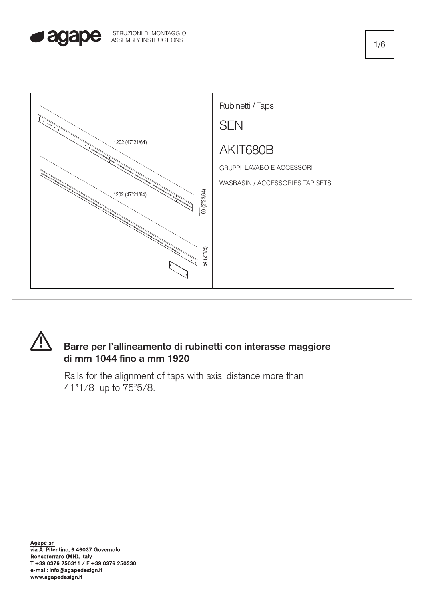





## **Barre per l'allineamento di rubinetti con interasse maggiore di mm 1044 fino a mm 1920**

Rails for the alignment of taps with axial distance more than 41"1/8 up to 75"5/8.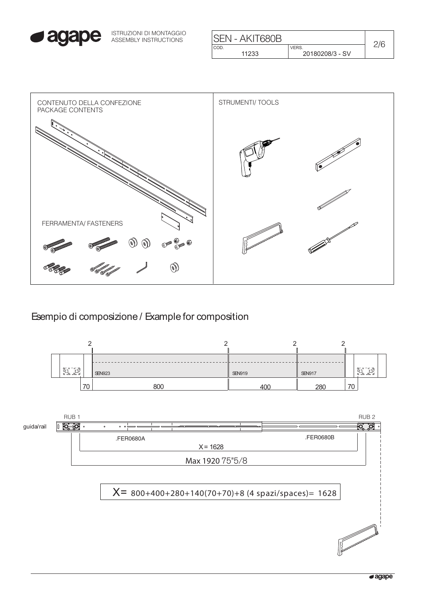

ISTRUZIONI DI MONTAGGIO ASSEMBLY INSTRUCTIONS

| <b>ISEN - AKIT680B</b> |                 |  |
|------------------------|-----------------|--|
| COD.                   | VERS.           |  |
| 11233                  | 20180208/3 - SV |  |



Esempio di composizione / Example for composition

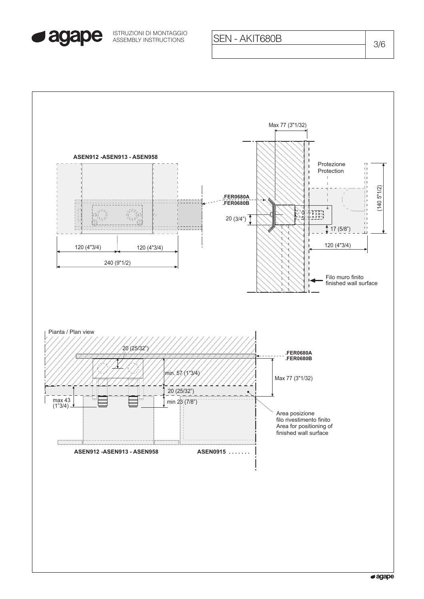

ASSEMBLY INSTRUCTIONS SEN - AKIT680B ISTRUZIONI DI MONTAGGIO

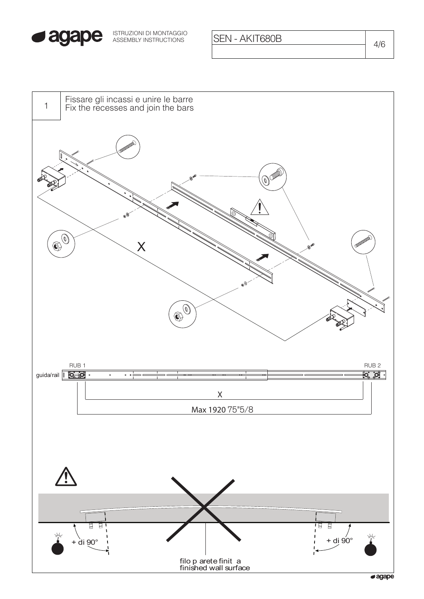

ISTRUZIONI DI MONTAGGIO<br>ASSEMBLY INSTRUCTIONS **ISEN - AKIT680B** 4/6



 $\sqrt{a}$ agape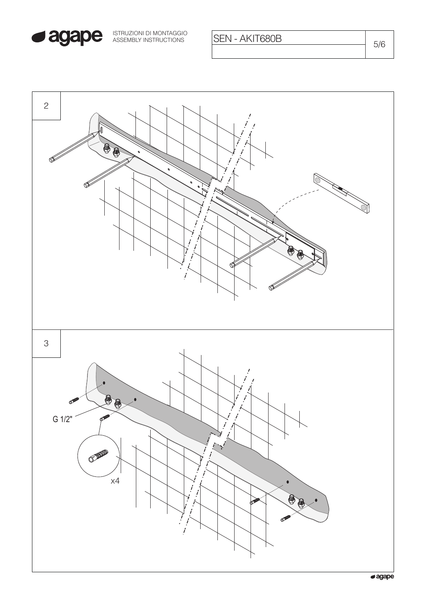

SEN - AKIT680B

 $5/6$